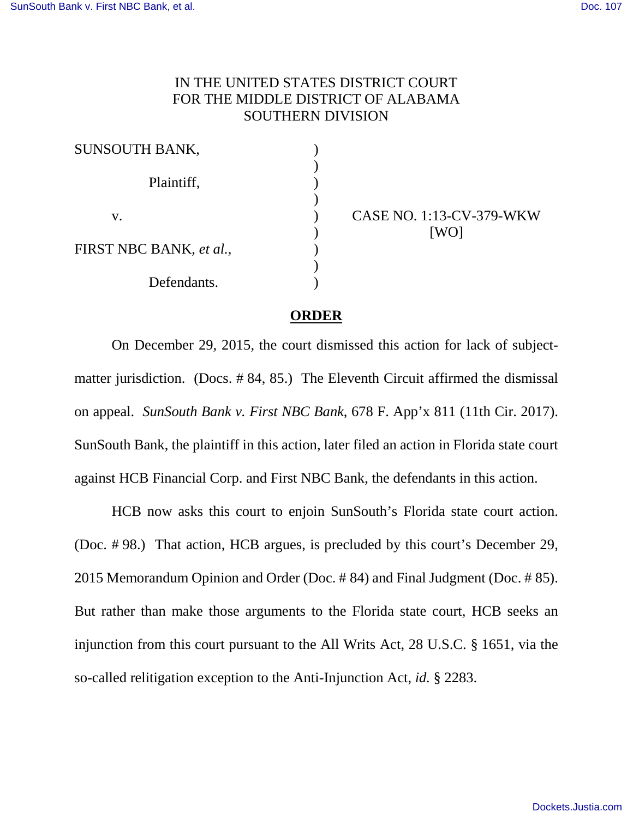## IN THE UNITED STATES DISTRICT COURT FOR THE MIDDLE DISTRICT OF ALABAMA SOUTHERN DIVISION

| SUNSOUTH BANK,          |  |
|-------------------------|--|
| Plaintiff,              |  |
|                         |  |
| $V_{\cdot}$             |  |
| FIRST NBC BANK, et al., |  |
|                         |  |
| Defendants.             |  |

CASE NO. 1:13-CV-379-WKW [WO]

## **ORDER**

On December 29, 2015, the court dismissed this action for lack of subjectmatter jurisdiction. (Docs. # 84, 85.) The Eleventh Circuit affirmed the dismissal on appeal. *SunSouth Bank v. First NBC Bank*, 678 F. App'x 811 (11th Cir. 2017). SunSouth Bank, the plaintiff in this action, later filed an action in Florida state court against HCB Financial Corp. and First NBC Bank, the defendants in this action.

HCB now asks this court to enjoin SunSouth's Florida state court action. (Doc. # 98.) That action, HCB argues, is precluded by this court's December 29, 2015 Memorandum Opinion and Order (Doc. # 84) and Final Judgment (Doc. # 85). But rather than make those arguments to the Florida state court, HCB seeks an injunction from this court pursuant to the All Writs Act, 28 U.S.C. § 1651, via the so-called relitigation exception to the Anti-Injunction Act, *id.* § 2283.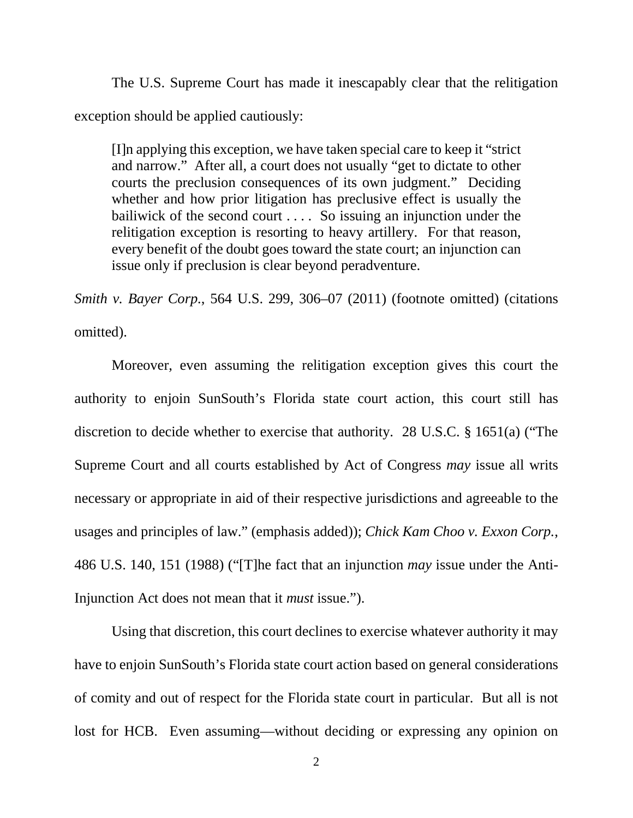The U.S. Supreme Court has made it inescapably clear that the relitigation exception should be applied cautiously:

[I]n applying this exception, we have taken special care to keep it "strict and narrow." After all, a court does not usually "get to dictate to other courts the preclusion consequences of its own judgment." Deciding whether and how prior litigation has preclusive effect is usually the bailiwick of the second court . . . . So issuing an injunction under the relitigation exception is resorting to heavy artillery. For that reason, every benefit of the doubt goes toward the state court; an injunction can issue only if preclusion is clear beyond peradventure.

*Smith v. Bayer Corp.*, 564 U.S. 299, 306–07 (2011) (footnote omitted) (citations omitted).

Moreover, even assuming the relitigation exception gives this court the authority to enjoin SunSouth's Florida state court action, this court still has discretion to decide whether to exercise that authority. 28 U.S.C. § 1651(a) ("The Supreme Court and all courts established by Act of Congress *may* issue all writs necessary or appropriate in aid of their respective jurisdictions and agreeable to the usages and principles of law." (emphasis added)); *Chick Kam Choo v. Exxon Corp.*, 486 U.S. 140, 151 (1988) ("[T]he fact that an injunction *may* issue under the Anti-Injunction Act does not mean that it *must* issue.").

Using that discretion, this court declines to exercise whatever authority it may have to enjoin SunSouth's Florida state court action based on general considerations of comity and out of respect for the Florida state court in particular. But all is not lost for HCB. Even assuming—without deciding or expressing any opinion on